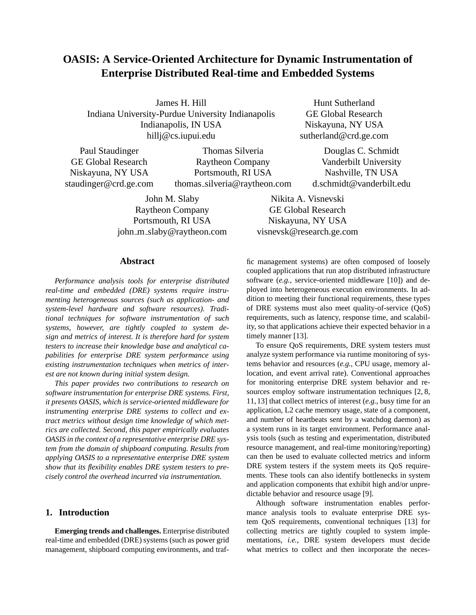# **OASIS: A Service-Oriented Architecture for Dynamic Instrumentation of Enterprise Distributed Real-time and Embedded Systems**

James H. Hill Indiana University-Purdue University Indianapolis Indianapolis, IN USA hillj@cs.iupui.edu

Paul Staudinger GE Global Research Niskayuna, NY USA staudinger@crd.ge.com

Thomas Silveria Raytheon Company Portsmouth, RI USA thomas\_silveria@raytheon.com

John M. Slaby Raytheon Company Portsmouth, RI USA john m slaby@raytheon.com

Hunt Sutherland GE Global Research Niskayuna, NY USA sutherland@crd.ge.com

> Douglas C. Schmidt Vanderbilt University Nashville, TN USA d.schmidt@vanderbilt.edu

Nikita A. Visnevski GE Global Research Niskayuna, NY USA visnevsk@research.ge.com

#### **Abstract**

*Performance analysis tools for enterprise distributed real-time and embedded (DRE) systems require instrumenting heterogeneous sources (such as application- and system-level hardware and software resources). Traditional techniques for software instrumentation of such systems, however, are tightly coupled to system design and metrics of interest. It is therefore hard for system testers to increase their knowledge base and analytical capabilities for enterprise DRE system performance using existing instrumentation techniques when metrics of interest are not known during initial system design.*

*This paper provides two contributions to research on software instrumentation for enterprise DRE systems. First, it presents OASIS, which is service-oriented middleware for instrumenting enterprise DRE systems to collect and extract metrics without design time knowledge of which metrics are collected. Second, this paper empirically evaluates OASIS in the context of a representative enterprise DRE system from the domain of shipboard computing. Results from applying OASIS to a representative enterprise DRE system show that its flexibility enables DRE system testers to precisely control the overhead incurred via instrumentation.*

# **1. Introduction**

**Emerging trends and challenges.** Enterprise distributed real-time and embedded (DRE) systems (such as power grid management, shipboard computing environments, and traffic management systems) are often composed of loosely coupled applications that run atop distributed infrastructure software (*e.g.*, service-oriented middleware [10]) and deployed into heterogeneous execution environments. In addition to meeting their functional requirements, these types of DRE systems must also meet quality-of-service (QoS) requirements, such as latency, response time, and scalability, so that applications achieve their expected behavior in a timely manner [13].

To ensure QoS requirements, DRE system testers must analyze system performance via runtime monitoring of systems behavior and resources (*e.g.*, CPU usage, memory allocation, and event arrival rate). Conventional approaches for monitoring enterprise DRE system behavior and resources employ software instrumentation techniques [2, 8, 11,13] that collect metrics of interest (*e.g.*, busy time for an application, L2 cache memory usage, state of a component, and number of heartbeats sent by a watchdog daemon) as a system runs in its target environment. Performance analysis tools (such as testing and experimentation, distributed resource management, and real-time monitoring/reporting) can then be used to evaluate collected metrics and inform DRE system testers if the system meets its QoS requirements. These tools can also identify bottlenecks in system and application components that exhibit high and/or unpredictable behavior and resource usage [9].

Although software instrumentation enables performance analysis tools to evaluate enterprise DRE system QoS requirements, conventional techniques [13] for collecting metrics are tightly coupled to system implementations, *i.e.*, DRE system developers must decide what metrics to collect and then incorporate the neces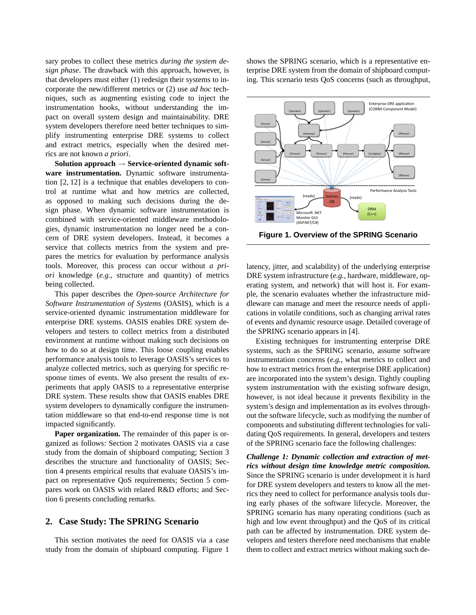sary probes to collect these metrics *during the system design phase*. The drawback with this approach, however, is that developers must either (1) redesign their systems to incorporate the new/different metrics or (2) use *ad hoc* techniques, such as augmenting existing code to inject the instrumentation hooks, without understanding the impact on overall system design and maintainability. DRE system developers therefore need better techniques to simplify instrumenting enterprise DRE systems to collect and extract metrics, especially when the desired metrics are not known *a priori*.

**Solution approach** → **Service-oriented dynamic software instrumentation.** Dynamic software instrumentation [2, 12] is a technique that enables developers to control at runtime what and how metrics are collected, as opposed to making such decisions during the design phase. When dynamic software instrumentation is combined with service-oriented middleware methodologies, dynamic instrumentation no longer need be a concern of DRE system developers. Instead, it becomes a service that collects metrics from the system and prepares the metrics for evaluation by performance analysis tools. Moreover, this process can occur without *a priori* knowledge (*e.g.*, structure and quantity) of metrics being collected.

This paper describes the *Open-source Architecture for Software Instrumentation of Systems* (OASIS), which is a service-oriented dynamic instrumentation middleware for enterprise DRE systems. OASIS enables DRE system developers and testers to collect metrics from a distributed environment at runtime without making such decisions on how to do so at design time. This loose coupling enables performance analysis tools to leverage OASIS's services to analyze collected metrics, such as querying for specific response times of events. We also present the results of experiments that apply OASIS to a representative enterprise DRE system. These results show that OASIS enables DRE system developers to dynamically configure the instrumentation middleware so that end-to-end response time is not impacted significantly.

**Paper organization.** The remainder of this paper is organized as follows: Section 2 motivates OASIS via a case study from the domain of shipboard computing; Section 3 describes the structure and functionality of OASIS; Section 4 presents empirical results that evaluate OASIS's impact on representative QoS requirements; Section 5 compares work on OASIS with related R&D efforts; and Section 6 presents concluding remarks.

## **2. Case Study: The SPRING Scenario**

This section motivates the need for OASIS via a case study from the domain of shipboard computing. Figure 1

shows the SPRING scenario, which is a representative enterprise DRE system from the domain of shipboard computing. This scenario tests QoS concerns (such as throughput,



**Figure 1. Overview of the SPRING Scenario**

latency, jitter, and scalability) of the underlying enterprise DRE system infrastructure (*e.g.*, hardware, middleware, operating system, and network) that will host it. For example, the scenario evaluates whether the infrastructure middleware can manage and meet the resource needs of applications in volatile conditions, such as changing arrival rates of events and dynamic resource usage. Detailed coverage of the SPRING scenario appears in [4].

Existing techniques for instrumenting enterprise DRE systems, such as the SPRING scenario, assume software instrumentation concerns (*e.g.*, what metrics to collect and how to extract metrics from the enterprise DRE application) are incorporated into the system's design. Tightly coupling system instrumentation with the existing software design, however, is not ideal because it prevents flexibility in the system's design and implementation as its evolves throughout the software lifecycle, such as modifying the number of components and substituting different technologies for validating QoS requirements. In general, developers and testers of the SPRING scenario face the following challenges:

*Challenge 1: Dynamic collection and extraction of metrics without design time knowledge metric composition.* Since the SPRING scenario is under development it is hard for DRE system developers and testers to know all the metrics they need to collect for performance analysis tools during early phases of the software lifecycle. Moreover, the SPRING scenario has many operating conditions (such as high and low event throughput) and the QoS of its critical path can be affected by instrumentation. DRE system developers and testers therefore need mechanisms that enable them to collect and extract metrics without making such de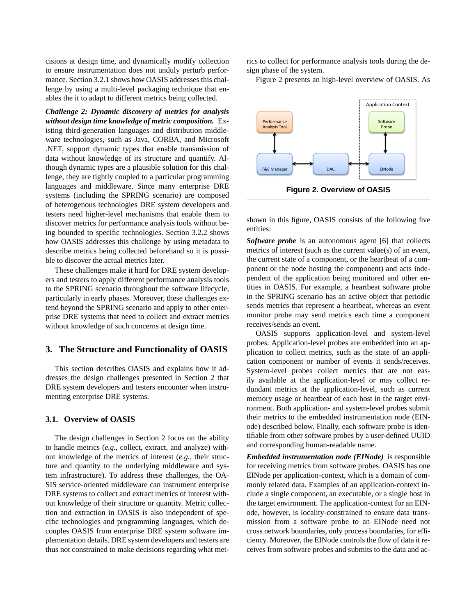cisions at design time, and dynamically modify collection to ensure instrumentation does not unduly perturb performance. Section 3.2.1 shows how OASIS addresses this challenge by using a multi-level packaging technique that enables the it to adapt to different metrics being collected.

*Challenge 2: Dynamic discovery of metrics for analysis without design time knowledge of metric composition.* Existing third-generation languages and distribution middleware technologies, such as Java, CORBA, and Microsoft .NET, support dynamic types that enable transmission of data without knowledge of its structure and quantify. Although dynamic types are a plausible solution for this challenge, they are tightly coupled to a particular programming languages and middleware. Since many enterprise DRE systems (including the SPRING scenario) are composed of heterogenous technologies DRE system developers and testers need higher-level mechanisms that enable them to discover metrics for performance analysis tools without being bounded to specific technologies. Section 3.2.2 shows how OASIS addresses this challenge by using metadata to describe metrics being collected beforehand so it is possible to discover the actual metrics later.

These challenges make it hard for DRE system developers and testers to apply different performance analysis tools to the SPRING scenario throughout the software lifecycle, particularly in early phases. Moreover, these challenges extend beyond the SPRING scenario and apply to other enterprise DRE systems that need to collect and extract metrics without knowledge of such concerns at design time.

## **3. The Structure and Functionality of OASIS**

This section describes OASIS and explains how it addresses the design challenges presented in Section 2 that DRE system developers and testers encounter when instrumenting enterprise DRE systems.

#### **3.1. Overview of OASIS**

The design challenges in Section 2 focus on the ability to handle metrics (*e.g.*, collect, extract, and analyze) without knowledge of the metrics of interest (*e.g.*, their structure and quantity to the underlying middleware and system infrastructure). To address these challenges, the OA-SIS service-oriented middleware can instrument enterprise DRE systems to collect and extract metrics of interest without knowledge of their structure or quantity. Metric collection and extraction in OASIS is also independent of specific technologies and programming languages, which decouples OASIS from enterprise DRE system software implementation details. DRE system developers and testers are thus not constrained to make decisions regarding what metrics to collect for performance analysis tools during the design phase of the system.

Figure 2 presents an high-level overview of OASIS. As



shown in this figure, OASIS consists of the following five entities:

*Software probe* is an autonomous agent [6] that collects metrics of interest (such as the current value(s) of an event, the current state of a component, or the heartbeat of a component or the node hosting the component) and acts independent of the application being monitored and other entities in OASIS. For example, a heartbeat software probe in the SPRING scenario has an active object that periodic sends metrics that represent a heartbeat, whereas an event monitor probe may send metrics each time a component receives/sends an event.

OASIS supports application-level and system-level probes. Application-level probes are embedded into an application to collect metrics, such as the state of an application component or number of events it sends/receives. System-level probes collect metrics that are not easily available at the application-level or may collect redundant metrics at the application-level, such as current memory usage or heartbeat of each host in the target environment. Both application- and system-level probes submit their metrics to the embedded instrumentation node (EINode) described below. Finally, each software probe is identifiable from other software probes by a user-defined UUID and corresponding human-readable name.

*Embedded instrumentation node (EINode)* is responsible for receiving metrics from software probes. OASIS has one EINode per application-context, which is a domain of commonly related data. Examples of an application-context include a single component, an executable, or a single host in the target environment. The application-context for an EINode, however, is locality-constrained to ensure data transmission from a software probe to an EINode need not cross network boundaries, only process boundaries, for efficiency. Moreover, the EINode controls the flow of data it receives from software probes and submits to the data and ac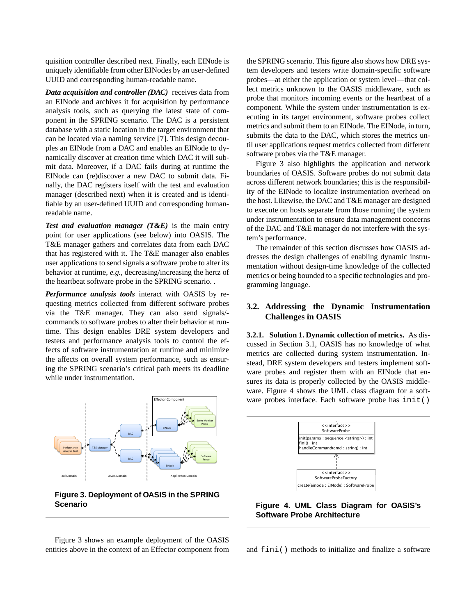quisition controller described next. Finally, each EINode is uniquely identifiable from other EINodes by an user-defined UUID and corresponding human-readable name.

*Data acquisition and controller (DAC)* receives data from an EINode and archives it for acquisition by performance analysis tools, such as querying the latest state of component in the SPRING scenario. The DAC is a persistent database with a static location in the target environment that can be located via a naming service [7]. This design decouples an EINode from a DAC and enables an EINode to dynamically discover at creation time which DAC it will submit data. Moreover, if a DAC fails during at runtime the EINode can (re)discover a new DAC to submit data. Finally, the DAC registers itself with the test and evaluation manager (described next) when it is created and is identifiable by an user-defined UUID and corresponding humanreadable name.

*Test and evaluation manager (T&E)* is the main entry point for user applications (see below) into OASIS. The T&E manager gathers and correlates data from each DAC that has registered with it. The T&E manager also enables user applications to send signals a software probe to alter its behavior at runtime, *e.g.*, decreasing/increasing the hertz of the heartbeat software probe in the SPRING scenario. .

*Performance analysis tools* interact with OASIS by requesting metrics collected from different software probes via the T&E manager. They can also send signals/ commands to software probes to alter their behavior at runtime. This design enables DRE system developers and testers and performance analysis tools to control the effects of software instrumentation at runtime and minimize the affects on overall system performance, such as ensuring the SPRING scenario's critical path meets its deadline while under instrumentation.



**Figure 3. Deployment of OASIS in the SPRING Scenario**

Figure 3 shows an example deployment of the OASIS entities above in the context of an Effector component from

the SPRING scenario. This figure also shows how DRE system developers and testers write domain-specific software probes—at either the application or system level—that collect metrics unknown to the OASIS middleware, such as probe that monitors incoming events or the heartbeat of a component. While the system under instrumentation is executing in its target environment, software probes collect metrics and submit them to an EINode. The EINode, in turn, submits the data to the DAC, which stores the metrics until user applications request metrics collected from different software probes via the T&E manager.

Figure 3 also highlights the application and network boundaries of OASIS. Software probes do not submit data across different network boundaries; this is the responsibility of the EINode to localize instrumentation overhead on the host. Likewise, the DAC and T&E manager are designed to execute on hosts separate from those running the system under instrumentation to ensure data management concerns of the DAC and T&E manager do not interfere with the system's performance.

The remainder of this section discusses how OASIS addresses the design challenges of enabling dynamic instrumentation without design-time knowledge of the collected metrics or being bounded to a specific technologies and programming language.

## **3.2. Addressing the Dynamic Instrumentation Challenges in OASIS**

**3.2.1. Solution 1. Dynamic collection of metrics.** As discussed in Section 3.1, OASIS has no knowledge of what metrics are collected during system instrumentation. Instead, DRE system developers and testers implement software probes and register them with an EINode that ensures its data is properly collected by the OASIS middleware. Figure 4 shows the UML class diagram for a software probes interface. Each software probe has init()



**Figure 4. UML Class Diagram for OASIS's Software Probe Architecture**

and fini() methods to initialize and finalize a software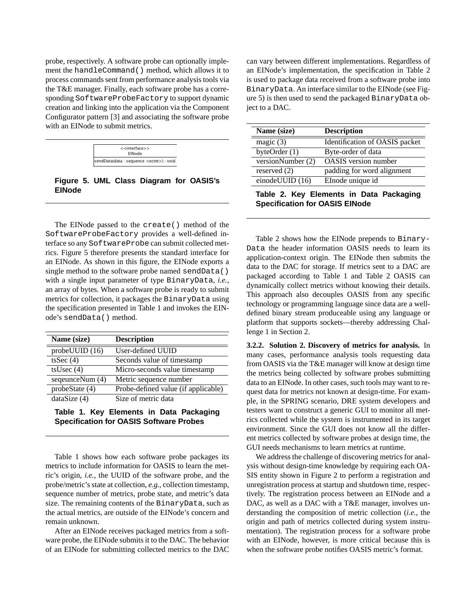probe, respectively. A software probe can optionally implement the handleCommand() method, which allows it to process commands sent from performance analysis tools via the T&E manager. Finally, each software probe has a corresponding SoftwareProbeFactory to support dynamic creation and linking into the application via the Component Configurator pattern [3] and associating the software probe with an EINode to submit metrics.



#### **Figure 5. UML Class Diagram for OASIS's EINode**

The EINode passed to the create() method of the SoftwareProbeFactory provides a well-defined interface so any SoftwareProbe can submit collected metrics. Figure 5 therefore presents the standard interface for an EINode. As shown in this figure, the EINode exports a single method to the software probe named sendData() with a single input parameter of type BinaryData, *i.e.*, an array of bytes. When a software probe is ready to submit metrics for collection, it packages the BinaryData using the specification presented in Table 1 and invokes the EINode's sendData() method.

| Name (size)     | <b>Description</b>                  |
|-----------------|-------------------------------------|
| probeUUID(16)   | User-defined UUID                   |
| tsSec $(4)$     | Seconds value of timestamp          |
| tsUsec $(4)$    | Micro-seconds value timestamp       |
| seqeunceNum (4) | Metric sequence number              |
| probeState (4)  | Probe-defined value (if applicable) |
| dataSize(4)     | Size of metric data                 |

#### **Table 1. Key Elements in Data Packaging Specification for OASIS Software Probes**

Table 1 shows how each software probe packages its metrics to include information for OASIS to learn the metric's origin, *i.e.*, the UUID of the software probe, and the probe/metric's state at collection, *e.g.*, collection timestamp, sequence number of metrics, probe state, and metric's data size. The remaining contents of the BinaryData, such as the actual metrics, are outside of the EINode's concern and remain unknown.

After an EINode receives packaged metrics from a software probe, the EINode submits it to the DAC. The behavior of an EINode for submitting collected metrics to the DAC

can vary between different implementations. Regardless of an EINode's implementation, the specification in Table 2 is used to package data received from a software probe into BinaryData. An interface similar to the EINode (see Figure 5) is then used to send the packaged BinaryData object to a DAC.

| <b>Description</b>             | Name (size)       |
|--------------------------------|-------------------|
| Identification of OASIS packet | magic $(3)$       |
| Byte-order of data             | byteOrder (1)     |
| <b>OASIS</b> version number    | versionNumber (2) |
| padding for word alignment     | reserved $(2)$    |
| EInode unique id               | einodeUUID (16)   |
|                                |                   |

**Table 2. Key Elements in Data Packaging Specification for OASIS EINode**

Table 2 shows how the EINode prepends to Binary-Data the header information OASIS needs to learn its application-context origin. The EINode then submits the data to the DAC for storage. If metrics sent to a DAC are packaged according to Table 1 and Table 2 OASIS can dynamically collect metrics without knowing their details. This approach also decouples OASIS from any specific technology or programming language since data are a welldefined binary stream produceable using any language or platform that supports sockets—thereby addressing Challenge 1 in Section 2.

**3.2.2. Solution 2. Discovery of metrics for analysis.** In many cases, performance analysis tools requesting data from OASIS via the T&E manager will know at design time the metrics being collected by software probes submitting data to an EINode. In other cases, such tools may want to request data for metrics not known at design-time. For example, in the SPRING scenario, DRE system developers and testers want to construct a generic GUI to monitor all metrics collected while the system is instrumented in its target environment. Since the GUI does not know all the different metrics collected by software probes at design time, the GUI needs mechanisms to learn metrics at runtime.

We address the challenge of discovering metrics for analysis without design-time knowledge by requiring each OA-SIS entity shown in Figure 2 to perform a registration and unregistration process at startup and shutdown time, respectively. The registration process between an EINode and a DAC, as well as a DAC with a T&E manager, involves understanding the composition of metric collection (*i.e.*, the origin and path of metrics collected during system instrumentation). The registration process for a software probe with an EINode, however, is more critical because this is when the software probe notifies OASIS metric's format.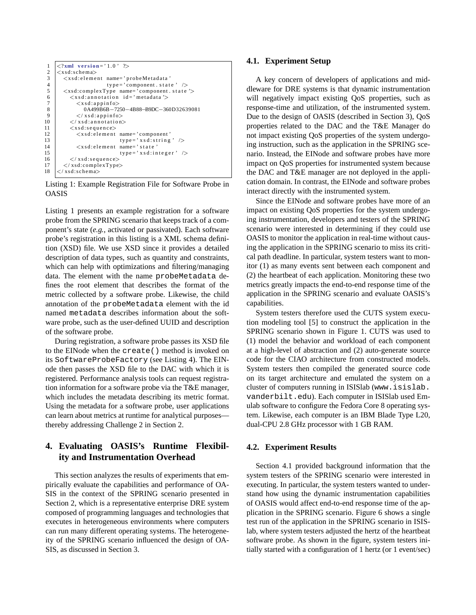```
\begin{array}{c|c} 1 < ? \text{xml} & \text{version} = ' 1.0' > ? \ \hline 2 < x \text{ sd:scheme} \end{array}\begin{array}{c|c}\n2 & \times \text{sd:scheme} \\
3 & \times \text{xd:element}\n\end{array}\begin{array}{c|c} 3 & \times \text{xs} \ \text{d} : \text{element name} = \text{probeMetadata'} \\ 4 & \text{type} = \text{component state} \end{array}\begin{array}{c|c} 4 & type='component state' > 5 \\ 5 < xsd:complexType name='component state) \end{array}\begin{array}{c|c}\n5 & \times \text{xd:complexType name} = \text{component. state} \\
6 & \times \text{xd:annotation id} = \text{metadata'} \times \text{} \\
7 & \times \text{xd:appinfo} \times \n\end{array}\langle x s d : an notation \text{ id} = 'metadata' \rangle\begin{array}{c|c}\n7 & \times \text{xd} : \text{appinfo} \\
8 & 0 \text{A499R6B} - 72\n\end{array}8 0A499B6B−7250−4B88−B9DC−360D32639081
\begin{array}{c|c} 9 & \text{<}/\text{xsd:appinfo} \\ 10 & \text{<}/\text{xsd:annotation} \end{array}\langle x \rangle x s d : a n n o t a t i o n \ge11 \langle xsd: sequence \rangle12 | \langle x s d : element name='component'
13 \vert type='x s d: s t r in g ' />
14 \sim x s d : element name=' state'
15 type='xsd:integer' />
16 \langle x s d : \text{sequence} \rangle17 | \langle xsd:complexType>
18 \leq xsd:schema>
```
Listing 1: Example Registration File for Software Probe in OASIS

Listing 1 presents an example registration for a software probe from the SPRING scenario that keeps track of a component's state (*e.g.*, activated or passivated). Each software probe's registration in this listing is a XML schema definition (XSD) file. We use XSD since it provides a detailed description of data types, such as quantity and constraints, which can help with optimizations and filtering/managing data. The element with the name probeMetadata defines the root element that describes the format of the metric collected by a software probe. Likewise, the child annotation of the probeMetadata element with the id named metadata describes information about the software probe, such as the user-defined UUID and description of the software probe.

During registration, a software probe passes its XSD file to the EINode when the create() method is invoked on its SoftwareProbeFactory (see Listing 4). The EINode then passes the XSD file to the DAC with which it is registered. Performance analysis tools can request registration information for a software probe via the T&E manager, which includes the metadata describing its metric format. Using the metadata for a software probe, user applications can learn about metrics at runtime for analytical purposes thereby addressing Challenge 2 in Section 2.

# **4. Evaluating OASIS's Runtime Flexibility and Instrumentation Overhead**

This section analyzes the results of experiments that empirically evaluate the capabilities and performance of OA-SIS in the context of the SPRING scenario presented in Section 2, which is a representative enterprise DRE system composed of programming languages and technologies that executes in heterogeneous environments where computers can run many different operating systems. The heterogeneity of the SPRING scenario influenced the design of OA-SIS, as discussed in Section 3.

#### **4.1. Experiment Setup**

A key concern of developers of applications and middleware for DRE systems is that dynamic instrumentation will negatively impact existing QoS properties, such as response-time and utilization, of the instrumented system. Due to the design of OASIS (described in Section 3), QoS properties related to the DAC and the T&E Manager do not impact existing QoS properties of the system undergoing instruction, such as the application in the SPRING scenario. Instead, the EINode and software probes have more impact on QoS properties for instrumented system because the DAC and T&E manager are not deployed in the application domain. In contrast, the EINode and software probes interact directly with the instrumented system.

Since the EINode and software probes have more of an impact on existing QoS properties for the system undergoing instrumentation, developers and testers of the SPRING scenario were interested in determining if they could use OASIS to monitor the application in real-time without causing the application in the SPRING scenario to miss its critical path deadline. In particular, system testers want to monitor (1) as many events sent between each component and (2) the heartbeat of each application. Monitoring these two metrics greatly impacts the end-to-end response time of the application in the SPRING scenario and evaluate OASIS's capabilities.

System testers therefore used the CUTS system execution modeling tool [5] to construct the application in the SPRING scenario shown in Figure 1. CUTS was used to (1) model the behavior and workload of each component at a high-level of abstraction and (2) auto-generate source code for the CIAO architecture from constructed models. System testers then compiled the generated source code on its target architecture and emulated the system on a cluster of computers running in ISISlab (www.isislab. vanderbilt.edu). Each computer in ISISlab used Emulab software to configure the Fedora Core 8 operating system. Likewise, each computer is an IBM Blade Type L20, dual-CPU 2.8 GHz processor with 1 GB RAM.

#### **4.2. Experiment Results**

Section 4.1 provided background information that the system testers of the SPRING scenario were interested in executing. In particular, the system testers wanted to understand how using the dynamic instrumentation capabilities of OASIS would affect end-to-end response time of the application in the SPRING scenario. Figure 6 shows a single test run of the application in the SPRING scenario in ISISlab, where system testers adjusted the hertz of the heartbeat software probe. As shown in the figure, system testers initially started with a configuration of 1 hertz (or 1 event/sec)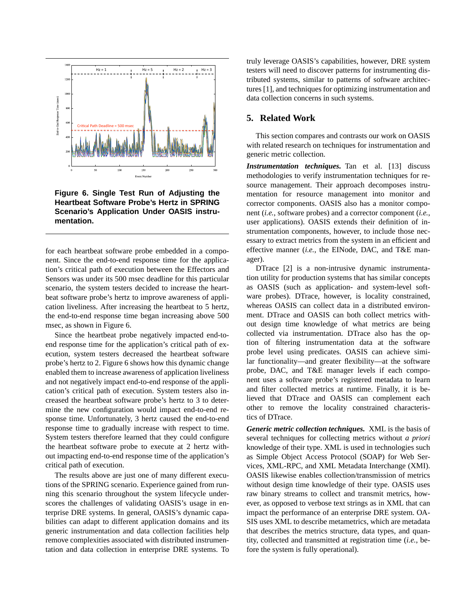

**Figure 6. Single Test Run of Adjusting the Heartbeat Software Probe's Hertz in SPRING Scenario's Application Under OASIS instrumentation.**

for each heartbeat software probe embedded in a component. Since the end-to-end response time for the application's critical path of execution between the Effectors and Sensors was under its 500 msec deadline for this particular scenario, the system testers decided to increase the heartbeat software probe's hertz to improve awareness of application liveliness. After increasing the heartbeat to 5 hertz, the end-to-end response time began increasing above 500 msec, as shown in Figure 6.

Since the heartbeat probe negatively impacted end-toend response time for the application's critical path of execution, system testers decreased the heartbeat software probe's hertz to 2. Figure 6 shows how this dynamic change enabled them to increase awareness of application liveliness and not negatively impact end-to-end response of the application's critical path of execution. System testers also increased the heartbeat software probe's hertz to 3 to determine the new configuration would impact end-to-end response time. Unfortunately, 3 hertz caused the end-to-end response time to gradually increase with respect to time. System testers therefore learned that they could configure the heartbeat software probe to execute at 2 hertz without impacting end-to-end response time of the application's critical path of execution.

The results above are just one of many different executions of the SPRING scenario. Experience gained from running this scenario throughout the system lifecycle underscores the challenges of validating OASIS's usage in enterprise DRE systems. In general, OASIS's dynamic capabilities can adapt to different application domains and its generic instrumentation and data collection facilities help remove complexities associated with distributed instrumentation and data collection in enterprise DRE systems. To

truly leverage OASIS's capabilities, however, DRE system testers will need to discover patterns for instrumenting distributed systems, similar to patterns of software architectures [1], and techniques for optimizing instrumentation and data collection concerns in such systems.

#### **5. Related Work**

This section compares and contrasts our work on OASIS with related research on techniques for instrumentation and generic metric collection.

*Instrumentation techniques.* Tan et al. [13] discuss methodologies to verify instrumentation techniques for resource management. Their approach decomposes instrumentation for resource management into monitor and corrector components. OASIS also has a monitor component (*i.e.*, software probes) and a corrector component (*i.e.*, user applications). OASIS extends their definition of instrumentation components, however, to include those necessary to extract metrics from the system in an efficient and effective manner (*i.e.*, the EINode, DAC, and T&E manager).

DTrace [2] is a non-intrusive dynamic instrumentation utility for production systems that has similar concepts as OASIS (such as application- and system-level software probes). DTrace, however, is locality constrained, whereas OASIS can collect data in a distributed environment. DTrace and OASIS can both collect metrics without design time knowledge of what metrics are being collected via instrumentation. DTrace also has the option of filtering instrumentation data at the software probe level using predicates. OASIS can achieve similar functionality—and greater flexibility—at the software probe, DAC, and T&E manager levels if each component uses a software probe's registered metadata to learn and filter collected metrics at runtime. Finally, it is believed that DTrace and OASIS can complement each other to remove the locality constrained characteristics of DTrace.

*Generic metric collection techniques.* XML is the basis of several techniques for collecting metrics without *a priori* knowledge of their type. XML is used in technologies such as Simple Object Access Protocol (SOAP) for Web Services, XML-RPC, and XML Metadata Interchange (XMI). OASIS likewise enables collection/transmission of metrics without design time knowledge of their type. OASIS uses raw binary streams to collect and transmit metrics, however, as opposed to verbose text strings as in XML that can impact the performance of an enterprise DRE system. OA-SIS uses XML to describe metametrics, which are metadata that describes the metrics structure, data types, and quantity, collected and transmitted at registration time (*i.e.*, before the system is fully operational).